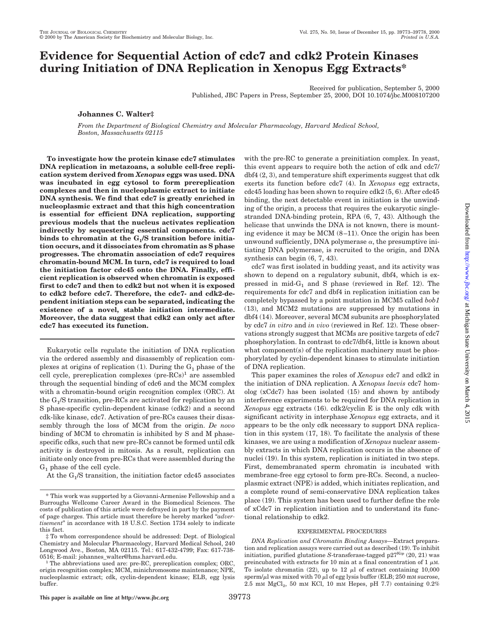# **Evidence for Sequential Action of cdc7 and cdk2 Protein Kinases during Initiation of DNA Replication in Xenopus Egg Extracts\***

Received for publication, September 5, 2000 Published, JBC Papers in Press, September 25, 2000, DOI 10.1074/jbc.M008107200

**Johannes C. Walter‡**

*From the Department of Biological Chemistry and Molecular Pharmacology, Harvard Medical School, Boston, Massachusetts 02115*

**To investigate how the protein kinase cdc7 stimulates DNA replication in metazoans, a soluble cell-free replication system derived from** *Xenopus* **eggs was used. DNA was incubated in egg cytosol to form prereplication complexes and then in nucleoplasmic extract to initiate DNA synthesis. We find that cdc7 is greatly enriched in nucleoplasmic extract and that this high concentration is essential for efficient DNA replication, supporting previous models that the nucleus activates replication indirectly by sequestering essential components. cdc7** binds to chromatin at the G<sub>1</sub>/S transition before initia**tion occurs, and it dissociates from chromatin as S phase progresses. The chromatin association of cdc7 requires chromatin-bound MCM. In turn, cdc7 is required to load the initiation factor cdc45 onto the DNA. Finally, efficient replication is observed when chromatin is exposed first to cdc7 and then to cdk2 but not when it is exposed to cdk2 before cdc7. Therefore, the cdc7- and cdk2-dependent initiation steps can be separated, indicating the existence of a novel, stable initiation intermediate. Moreover, the data suggest that cdk2 can only act after cdc7 has executed its function.**

Eukaryotic cells regulate the initiation of DNA replication via the ordered assembly and disassembly of replication complexes at origins of replication (1). During the  $G_1$  phase of the cell cycle, prereplication complexes  $(\text{pre-RCs})^1$  are assembled through the sequential binding of cdc6 and the MCM complex with a chromatin-bound origin recognition complex (ORC). At the  $G_1/S$  transition, pre-RCs are activated for replication by an S phase-specific cyclin-dependent kinase (cdk2) and a second cdk-like kinase, cdc7. Activation of pre-RCs causes their disassembly through the loss of MCM from the origin. *De novo* binding of MCM to chromatin is inhibited by S and M phasespecific cdks, such that new pre-RCs cannot be formed until cdk activity is destroyed in mitosis. As a result, replication can initiate only once from pre-RCs that were assembled during the G1 phase of the cell cycle.

At the  $G_1/S$  transition, the initiation factor cdc45 associates

with the pre-RC to generate a preinitiation complex. In yeast, this event appears to require both the action of cdk and cdc7/ dbf4 (2, 3), and temperature shift experiments suggest that cdk exerts its function before cdc7 (4). In *Xenopus* egg extracts, cdc45 loading has been shown to require cdk2 (5, 6). After cdc45 binding, the next detectable event in initiation is the unwinding of the origin, a process that requires the eukaryotic singlestranded DNA-binding protein, RPA (6, 7, 43). Although the helicase that unwinds the DNA is not known, there is mounting evidence it may be MCM (8–11). Once the origin has been unwound sufficiently, DNA polymerase  $\alpha$ , the presumptive initiating DNA polymerase, is recruited to the origin, and DNA synthesis can begin (6, 7, 43). cdc7 was first isolated in budding yeast, and its activity was

shown to depend on a regulatory subunit, dbf4, which is expressed in  $mid_{G_1}$  and S phase (reviewed in Ref. 12). The requirements for cdc7 and dbf4 in replication initiation can be completely bypassed by a point mutation in MCM5 called *bob1* (13), and MCM2 mutations are suppressed by mutations in dbf4 (14). Moreover, several MCM subunits are phosphorylated by cdc7 *in vitro* and *in vivo* (reviewed in Ref. 12). These observations strongly suggest that MCMs are positive targets of cdc7 phosphorylation. In contrast to cdc7/dbf4, little is known about what component(s) of the replication machinery must be phosphorylated by cyclin-dependent kinases to stimulate initiation of DNA replication.

This paper examines the roles of *Xenopus* cdc7 and cdk2 in the initiation of DNA replication. A *Xenopus laevis* cdc7 homolog (xCdc7) has been isolated (15) and shown by antibody interference experiments to be required for DNA replication in *Xenopus* egg extracts (16). cdk2/cyclin E is the only cdk with significant activity in interphase *Xenopus* egg extracts, and it appears to be the only cdk necessary to support DNA replication in this system (17, 18). To facilitate the analysis of these kinases, we are using a modification of *Xenopus* nuclear assembly extracts in which DNA replication occurs in the absence of nuclei (19). In this system, replication is initiated in two steps. First, demembranated sperm chromatin is incubated with membrane-free egg cytosol to form pre-RCs. Second, a nucleoplasmic extract (NPE) is added, which initiates replication, and a complete round of semi-conservative DNA replication takes place (19). This system has been used to further define the role of xCdc7 in replication initiation and to understand its functional relationship to cdk2.

### EXPERIMENTAL PROCEDURES

*DNA Replication and Chromatin Binding Assays—*Extract preparation and replication assays were carried out as described (19). To inhibit initiation, purified glutatione *S*-transferase-tagged p27<sup>Kip</sup> (20, 21) was preincubated with extracts for 10 min at a final concentration of 1  $\mu$ M. To isolate chromatin (22), up to 12  $\mu$ l of extract containing 10,000 sperm/ $\mu$ l was mixed with 70  $\mu$ l of egg lysis buffer (ELB; 250 mM sucrose,  $2.5$  mM MgCl<sub>2</sub>, 50 mM KCl, 10 mM Hepes, pH 7.7) containing  $0.2\%$ 

<sup>\*</sup> This work was supported by a Giovanni-Armenise Fellowship and a Burroughs Wellcome Career Award in the Biomedical Sciences. The costs of publication of this article were defrayed in part by the payment of page charges. This article must therefore be hereby marked "*advertisement*" in accordance with 18 U.S.C. Section 1734 solely to indicate this fact.

<sup>‡</sup> To whom correspondence should be addressed: Dept. of Biological Chemistry and Molecular Pharmacology, Harvard Medical School, 240 Longwood Ave., Boston, MA 02115. Tel.: 617-432-4799; Fax: 617-738-

 $^1$  The abbreviations used are: pre-RC, prereplication complex; ORC, origin recognition complex; MCM, minichromosome maintenance; NPE, nucleoplasmic extract; cdk, cyclin-dependent kinase; ELB, egg lysis buffer.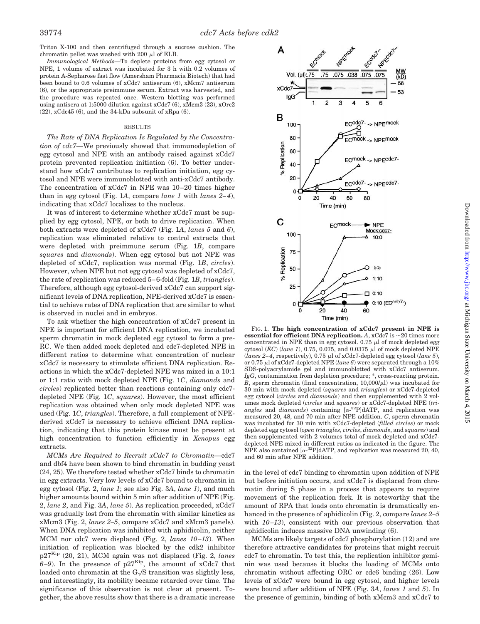Triton X-100 and then centrifuged through a sucrose cushion. The chromatin pellet was washed with 200  $\mu$ l of ELB.

*Immunological Methods—*To deplete proteins from egg cytosol or NPE, 1 volume of extract was incubated for 3 h with 0.2 volumes of protein A-Sepharose fast flow (Amersham Pharmacia Biotech) that had been bound to 0.6 volumes of xCdc7 antiserum (6), xMcm7 antiserum (6), or the appropriate preimmune serum. Extract was harvested, and the procedure was repeated once. Western blotting was performed using antisera at 1:5000 dilution against xCdc7 (6), xMcm3 (23), xOrc2 (22), xCdc45 (6), and the 34-kDa subsunit of xRpa (6).

#### RESULTS

*The Rate of DNA Replication Is Regulated by the Concentration of cdc7—*We previously showed that immunodepletion of egg cytosol and NPE with an antibody raised against xCdc7 protein prevented replication initiation (6). To better understand how xCdc7 contributes to replication initiation, egg cytosol and NPE were immunoblotted with anti-xCdc7 antibody. The concentration of xCdc7 in NPE was 10–20 times higher than in egg cytosol (Fig. 1*A*, compare *lane 1* with *lanes 2–4*), indicating that xCdc7 localizes to the nucleus.

It was of interest to determine whether xCdc7 must be supplied by egg cytosol, NPE, or both to drive replication. When both extracts were depleted of xCdc7 (Fig. 1*A*, *lanes 5* and *6*), replication was eliminated relative to control extracts that were depleted with preimmune serum (Fig. 1*B*, compare *squares* and *diamonds*). When egg cytosol but not NPE was depleted of xCdc7, replication was normal (Fig. 1*B*, *circles*). However, when NPE but not egg cytosol was depleted of xCdc7, the rate of replication was reduced 5–6-fold (Fig. 1*B*, *triangles*). Therefore, although egg cytosol-derived xCdc7 can support significant levels of DNA replication, NPE-derived xCdc7 is essential to achieve rates of DNA replication that are similar to what is observed in nuclei and in embryos.

To ask whether the high concentration of xCdc7 present in NPE is important for efficient DNA replication, we incubated sperm chromatin in mock depleted egg cytosol to form a pre-RC. We then added mock depleted and cdc7-depleted NPE in different ratios to determine what concentration of nuclear xCdc7 is necessary to stimulate efficient DNA replication. Reactions in which the xCdc7-depleted NPE was mixed in a 10:1 or 1:1 ratio with mock depleted NPE (Fig. 1*C*, *diamonds* and *circles*) replicated better than reactions containing only cdc7 depleted NPE (Fig. 1*C*, *squares*). However, the most efficient replication was obtained when only mock depleted NPE was used (Fig. 1*C*, *triangles*). Therefore, a full complement of NPEderived xCdc7 is necessary to achieve efficient DNA replication, indicating that this protein kinase must be present at high concentration to function efficiently in *Xenopus* egg extracts.

*MCMs Are Required to Recruit xCdc7 to Chromatin—*cdc7 and dbf4 have been shown to bind chromatin in budding yeast (24, 25). We therefore tested whether xCdc7 binds to chromatin in egg extracts. Very low levels of xCdc7 bound to chromatin in egg cytosol (Fig. 2, *lane 1*; see also Fig. 3*A*, *lane 1*), and much higher amounts bound within 5 min after addition of NPE (Fig. 2, *lane 2*, and Fig. 3*A*, *lane 5*). As replication proceeded, xCdc7 was gradually lost from the chromatin with similar kinetics as xMcm3 (Fig. 2, *lanes 2–5*, compare xCdc7 and xMcm3 panels). When DNA replication was inhibited with aphidicolin, neither MCM nor cdc7 were displaced (Fig. 2, *lanes 10–13*). When initiation of replication was blocked by the cdk2 inhibitor p27Kip (20, 21), MCM again was not displaced (Fig. 2, *lanes*  $6-9$ ). In the presence of p27<sup>Kip</sup>, the amount of xCdc7 that loaded onto chromatin at the  $G<sub>1</sub>/S$  transition was slightly less, and interestingly, its mobility became retarded over time. The significance of this observation is not clear at present. Together, the above results show that there is a dramatic increase



FIG. 1. **The high concentration of xCdc7 present in NPE is essential for efficient DNA replication.**  $A$ ,  $xCdc7$  is  $\sim$  20 times more concentrated in NPE than in egg cytosol. 0.75  $\mu$ l of mock depleted egg cytosol ( $EC$ ) (lane 1), 0.75, 0.075, and 0.0375  $\mu$ l of mock depleted NPE (*lanes 2–4*, respectively), 0.75  $\mu$ l of xCdc7-depleted egg cytosol (*lane 5*), or 0.75 <sup>m</sup>l of xCdc7-depleted NPE (*lane 6*) were separated through a 10% SDS-polyacrylamide gel and immunoblotted with xCdc7 antiserum. *IgG*, contamination from depletion procedure; \*, cross-reacting protein.  $\overline{B}$ , sperm chromatin (final concentration, 10,000/ $\mu$ l) was incubated for 30 min with mock depleted (*squares* and *triangles*) or xCdc7-depleted egg cytosol (*circles* and *diamonds*) and then supplemented with 2 volumes mock depleted (*circles* and *squares*) or xCdc7-depleted NPE (*tri*angles and  $diamonds)$  containing  $[\alpha^{-32}P]dATP$ , and replication was measured 20, 48, and 70 min after NPE addition. *C*, sperm chromatin was incubated for 30 min with xCdc7-depleted (*filled circles*) or mock depleted egg cytosol (*open triangles*, *circles*, *diamonds*, and *squares*) and then supplemented with 2 volumes total of mock depleted and xCdc7 depleted NPE mixed in different ratios as indicated in the figure. The NPE also contained  $\lbrack \alpha^{-32}P \rbrack$ dATP, and replication was measured 20, 40, and 60 min after NPE addition.

in the level of cdc7 binding to chromatin upon addition of NPE but before initiation occurs, and xCdc7 is displaced from chromatin during S phase in a process that appears to require movement of the replication fork. It is noteworthy that the amount of RPA that loads onto chromatin is dramatically enhanced in the presence of aphidicolin (Fig. 2, compare *lanes 2–5* with *10–13*), consistent with our previous observation that aphidicolin induces massive DNA unwinding (6).

MCMs are likely targets of cdc7 phosphorylation (12) and are therefore attractive candidates for proteins that might recruit cdc7 to chromatin. To test this, the replication inhibitor geminin was used because it blocks the loading of MCMs onto chromatin without affecting ORC or cdc6 binding (26). Low levels of xCdc7 were bound in egg cytosol, and higher levels were bound after addition of NPE (Fig. 3*A*, *lanes 1* and *5*). In the presence of geminin, binding of both xMcm3 and xCdc7 to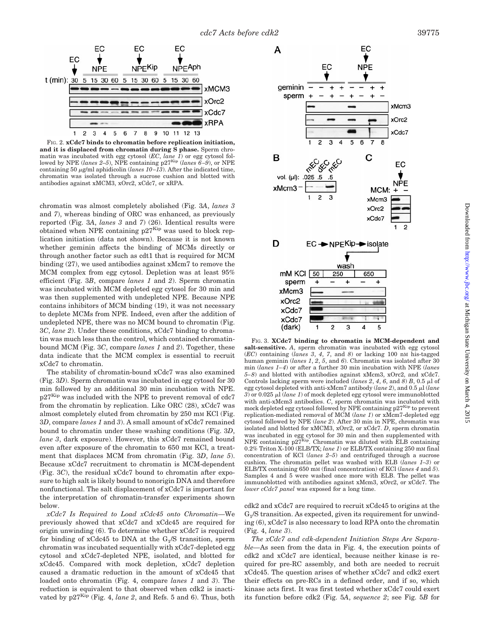

FIG. 2. **xCdc7 binds to chromatin before replication initiation, and it is displaced from chromatin during S phase.** Sperm chromatin was incubated with egg cytosol (*EC*, *lane 1*) or egg cytosol followed by NPE (*lanes 2–5*), NPE containing p27<sup>Kip</sup> (*lanes 6–9*), or NPE containing 50  $\mu$ g/ml aphidicolin (*lanes 10–13*). After the indicated time, chromatin was isolated through a sucrose cushion and blotted with antibodies against xMCM3, xOrc2, xCdc7, or xRPA.

chromatin was almost completely abolished (Fig. 3*A*, *lanes 3* and *7*), whereas binding of ORC was enhanced, as previously reported (Fig. 3*A*, *lanes 3* and *7*) (26). Identical results were obtained when NPE containing  $p27<sup>Kip</sup>$  was used to block replication initiation (data not shown). Because it is not known whether geminin affects the binding of MCMs directly or through another factor such as cdt1 that is required for MCM binding (27), we used antibodies against xMcm7 to remove the MCM complex from egg cytosol. Depletion was at least 95% efficient (Fig. 3*B*, compare *lanes 1* and *2*). Sperm chromatin was incubated with MCM depleted egg cytosol for 30 min and was then supplemented with undepleted NPE. Because NPE contains inhibitors of MCM binding (19), it was not necessary to deplete MCMs from NPE. Indeed, even after the addition of undepleted NPE, there was no MCM bound to chromatin (Fig. 3*C*, *lane 2*). Under these conditions, xCdc7 binding to chromatin was much less than the control, which contained chromatinbound MCM (Fig. 3*C*, compare *lanes 1* and *2*). Together, these data indicate that the MCM complex is essential to recruit xCdc7 to chromatin.

The stability of chromatin-bound xCdc7 was also examined (Fig. 3*D*). Sperm chromatin was incubated in egg cytosol for 30 min followed by an additional 30 min incubation with NPE.  $p27<sup>Kip</sup>$  was included with the NPE to prevent removal of cdc. from the chromatin by replication. Like ORC (28), xCdc7 was almost completely eluted from chromatin by 250 mm KCl (Fig. 3*D*, compare *lanes 1* and *3*). A small amount of xCdc7 remained bound to chromatin under these washing conditions (Fig. 3*D*, *lane 3*, dark exposure). However, this xCdc7 remained bound even after exposure of the chromatin to 650 mm KCl, a treatment that displaces MCM from chromatin (Fig. 3*D*, *lane 5*). Because xCdc7 recruitment to chromatin is MCM-dependent (Fig. 3*C*), the residual xCdc7 bound to chromatin after exposure to high salt is likely bound to nonorigin DNA and therefore nonfunctional. The salt displacement of xCdc7 is important for the interpretation of chromatin-transfer experiments shown below.

*xCdc7 Is Required to Load xCdc45 onto Chromatin—*We previously showed that xCdc7 and xCdc45 are required for origin unwinding (6). To determine whether xCdc7 is required for binding of  $xCdc45$  to DNA at the  $G<sub>1</sub>/S$  transition, sperm chromatin was incubated sequentially with xCdc7-depleted egg cytosol and xCdc7-depleted NPE, isolated, and blotted for xCdc45. Compared with mock depletion, xCdc7 depletion caused a dramatic reduction in the amount of xCdc45 that loaded onto chromatin (Fig. 4, compare *lanes 1* and *3*). The reduction is equivalent to that observed when cdk2 is inactivated by  $p27^{Kip}$  (Fig. 4, *lane 2*, and Refs. 5 and 6). Thus, both



FIG. 3. **XCdc7 binding to chromatin is MCM-dependent and salt-sensitive.** *A*, sperm chromatin was incubated with egg cytosol (*EC*) containing (*lanes 3*, *4*, *7*, and *8*) or lacking 100 nM his-tagged human geminin (*lanes 1*, *2*, *5*, and *6*). Chromatin was isolated after 30 min (*lanes 1–4*) or after a further 30 min incubation with NPE (*lanes 5–8*) and blotted with antibodies against xMcm3, xOrc2, and xCdc7. Controls lacking sperm were included (*lanes 2, 4, 6, and 8*)  $B$ , 0.5  $\mu$ l of egg cytosol depleted with anti-xMcm7 antibody (lane 2), and 0.5 µl (lane  $3)$  or  $0.025 \mu l$  (*lane 1*) of mock depleted egg cytosol were immunoblotted with anti-xMcm3 antibodies. *C*, sperm chromatin was incubated with mock depleted egg cytosol followed by NPE containing  $p27<sup>Kip</sup>$  to prevent replication-mediated removal of MCM (*lane 1*) or xMcm7-depleted egg cytosol followed by NPE (*lane 2*). After 30 min in NPE, chromatin was isolated and blotted for xMCM3, xOrc2, or xCdc7. *D*, sperm chromatin was incubated in egg cytosol for 30 min and then supplemented with NPE containing  $p27^{Kip}$ . Chromatin was diluted with ELB containing 0.2% Triton X-100 (ELB/TX; *lane 1*) or ELB/TX containing 250 mM final concentration of KCl (*lanes 2–5*) and centrifuged through a sucrose cushion. The chromatin pellet was washed with ELB (*lanes 1–3*) or ELB/TX containing 650 mM (final concentration) of KCl (*lanes 4* and *5*). Samples 4 and 5 were washed once more with ELB. The pellet was immunoblotted with antibodies against xMcm3, xOrc2, or xCdc7. The *lower cCdc7 panel* was exposed for a long time.

cdk2 and xCdc7 are required to recruit xCdc45 to origins at the G1/S transition. As expected, given its requirement for unwinding (6), xCdc7 is also necessary to load RPA onto the chromatin (Fig. 4, *lane 3*).

*The xCdc7 and cdk-dependent Initiation Steps Are Separable—*As seen from the data in Fig. 4, the execution points of cdk2 and xCdc7 are identical, because neither kinase is required for pre-RC assembly, and both are needed to recruit xCdc45. The question arises of whether xCdc7 and cdk2 exert their effects on pre-RCs in a defined order, and if so, which kinase acts first. It was first tested whether xCdc7 could exert its function before cdk2 (Fig. 5*A*, *sequence 2*; see Fig. 5*B* for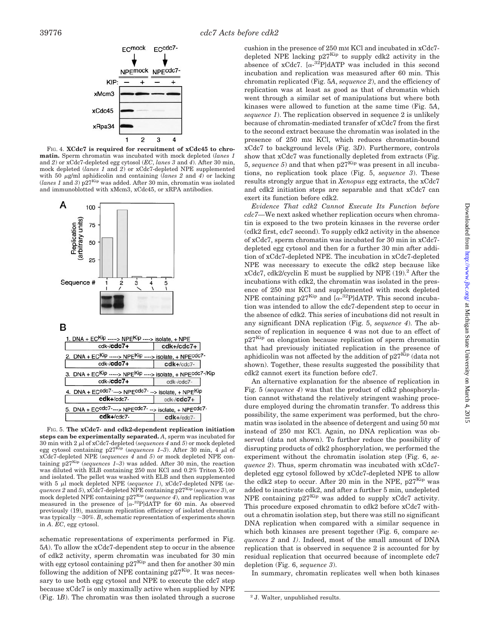

FIG. 4. **XCdc7 is required for recruitment of xCdc45 to chromatin.** Sperm chromatin was incubated with mock depleted (*lanes 1* and *2*) or xCdc7-depleted egg cytosol (*EC*, *lanes 3* and *4*). After 30 min, mock depleted (*lanes 1* and *2*) or xCdc7-depleted NPE supplemented with 50  $\mu$ g/ml aphidicolin and containing (*lanes 2* and 4) or lacking  $(lanes 1 and 3) p27<sup>Kip</sup>$  was added. After 30 min, chromatin was isolated and immunoblotted with xMcm3, xCdc45, or xRPA antibodies.



FIG. 5. **The xCdc7- and cdk2-dependent replication initiation steps can be experimentally separated.** *A*, sperm was incubated for 30 min with 2  $\mu$ l of xCdc7-depleted (*sequences 4* and *5*) or mock depleted egg cytosol containing p27<sup>Kip</sup> (*sequences 1–3*). After 30 min, 4  $\mu$ l of xCdc7-depleted NPE (*sequences 4* and *5*) or mock depleted NPE containing  $p27^{Kip}$  (*sequences 1–3*) was added. After 30 min, the reaction was diluted with ELB containing 250 mM KCl and 0.2% Triton X-100 and isolated. The pellet was washed with ELB and then supplemented with 5  $\mu$ l mock depleted NPE (*sequence 1*), xCdc7-depleted NPE (*sequences 2* and *5*), xCdc7-depleted NPE containing p27Kip (*sequence 3*), or mock depleted NPE containing p27<sup>Kip</sup> (*sequence 4*), and replication was measured in the presence of  $\left[\alpha^{-32}P\right]$ dATP for 60 min. As observed previously (19), maximum replication efficiency of isolated chromatin was typically  $\sim$ 30%. *B*, schematic representation of experiments shown in *A*. *EC*, egg cytosol.

schematic representations of experiments performed in Fig. 5*A*). To allow the xCdc7-dependent step to occur in the absence of cdk2 activity, sperm chromatin was incubated for 30 min with egg cytosol containing p27<sup>Kip</sup> and then for another 30 min following the addition of NPE containing  $p27<sup>Kip</sup>$ . It was necessary to use both egg cytosol and NPE to execute the cdc7 step because xCdc7 is only maximally active when supplied by NPE (Fig. 1*B*). The chromatin was then isolated through a sucrose cushion in the presence of 250 mM KCl and incubated in xCdc7 depleted NPE lacking  $p27^{Kip}$  to supply cdk2 activity in the absence of xCdc7.  $[\alpha^{-32}P]$ dATP was included in this second incubation and replication was measured after 60 min. This chromatin replicated (Fig. 5*A*, *sequence 2*), and the efficiency of replication was at least as good as that of chromatin which went through a similar set of manipulations but where both kinases were allowed to function at the same time (Fig. 5*A*, *sequence 1*). The replication observed in sequence 2 is unlikely because of chromatin-mediated transfer of xCdc7 from the first to the second extract because the chromatin was isolated in the presence of 250 mM KCl, which reduces chromatin-bound xCdc7 to background levels (Fig. 3*D*). Furthermore, controls show that xCdc7 was functionally depleted from extracts (Fig. 5, sequence 5) and that when  $p27<sup>Kip</sup>$  was present in all incubations, no replication took place (Fig. 5, *sequence 3*). These results strongly argue that in *Xenopus* egg extracts, the xCdc7 and cdk2 initiation steps are separable and that xCdc7 can exert its function before cdk2.

*Evidence That cdk2 Cannot Execute Its Function before cdc7—*We next asked whether replication occurs when chromatin is exposed to the two protein kinases in the reverse order (cdk2 first, cdc7 second). To supply cdk2 activity in the absence of xCdc7, sperm chromatin was incubated for 30 min in xCdc7 depleted egg cytosol and then for a further 30 min after addition of xCdc7-depleted NPE. The incubation in xCdc7-depleted NPE was necessary to execute the cdk2 step because like  $xCdc7$ ,  $cdk2/cyclin E$  must be supplied by NPE (19).<sup>2</sup> After the incubations with cdk2, the chromatin was isolated in the presence of 250 mM KCl and supplemented with mock depleted NPE containing  $p27^{Kip}$  and  $[\alpha^{-32}P]dATP$ . This second incubation was intended to allow the cdc7-dependent step to occur in the absence of cdk2. This series of incubations did not result in any significant DNA replication (Fig. 5, *sequence 4*). The absence of replication in sequence 4 was not due to an effect of p27<sup>Kip</sup> on elongation because replication of sperm chromatin that had previously initiated replication in the presence of aphidicolin was not affected by the addition of  $p27<sup>Kip</sup>$  (data not shown). Together, these results suggested the possibility that cdk2 cannot exert its function before cdc7.

An alternative explanation for the absence of replication in Fig. 5 (*sequence 4*) was that the product of cdk2 phosphorylation cannot withstand the relatively stringent washing procedure employed during the chromatin transfer. To address this possibility, the same experiment was performed, but the chromatin was isolated in the absence of detergent and using 50 mM instead of 250 mM KCl. Again, no DNA replication was observed (data not shown). To further reduce the possibility of disrupting products of cdk2 phosphorylation, we performed the experiment without the chromatin isolation step (Fig. 6, *sequence 2*). Thus, sperm chromatin was incubated with xCdc7 depleted egg cytosol followed by xCdc7-depleted NPE to allow the cdk2 step to occur. After 20 min in the NPE,  $p27<sup>Kip</sup>$  was added to inactivate cdk2, and after a further 5 min, undepleted NPE containing  $p27^{Kip}$  was added to supply xCdc7 activity. This procedure exposed chromatin to cdk2 before xCdc7 without a chromatin isolation step, but there was still no significant DNA replication when compared with a similar sequence in which both kinases are present together (Fig. 6, compare *sequences 2* and *1)*. Indeed, most of the small amount of DNA replication that is observed in sequence 2 is accounted for by residual replication that occurred because of incomplete cdc7 depletion (Fig. 6, *sequence 3*).

In summary, chromatin replicates well when both kinases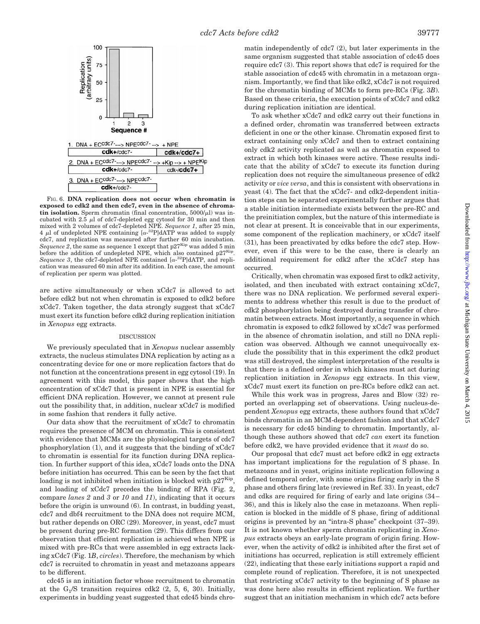

FIG. 6. **DNA replication does not occur when chromatin is exposed to cdk2 and then cdc7, even in the absence of chromatin isolation.** Sperm chromatin (final concentration,  $5000/\mu$ l) was incubated with  $2.5 \mu$ l of cdc7-depleted egg cytosol for 30 min and then mixed with 2 volumes of cdc7-depleted NPE. *Sequence 1*, after 25 min, 4  $\mu$ l of undepleted NPE containing [ $\alpha$ -<sup>32</sup>P]dATP was added to supply cdc7, and replication was measured after further 60 min incubation. *Sequence 2*, the same as sequence 1 except that  $p27<sup>Kip</sup>$  was added 5 min before the addition of undepleted NPE, which also contained  $p27^{Kip}$ . Sequence 3, the cdc7-depleted NPE contained  $[\alpha^{-32}P]$ dATP, and replication was measured 60 min after its addition. In each case, the amount of replication per sperm was plotted.

are active simultaneously or when xCdc7 is allowed to act before cdk2 but not when chromatin is exposed to cdk2 before xCdc7. Taken together, the data strongly suggest that xCdc7 must exert its function before cdk2 during replication initiation in *Xenopus* egg extracts.

#### DISCUSSION

We previously speculated that in *Xenopus* nuclear assembly extracts, the nucleus stimulates DNA replication by acting as a concentrating device for one or more replication factors that do not function at the concentrations present in egg cytosol (19). In agreement with this model, this paper shows that the high concentration of xCdc7 that is present in NPE is essential for efficient DNA replication. However, we cannot at present rule out the possibility that, in addition, nuclear xCdc7 is modified in some fashion that renders it fully active.

Our data show that the recruitment of xCdc7 to chromatin requires the presence of MCM on chromatin. This is consistent with evidence that MCMs are the physiological targets of cdc7 phosphorylation (1), and it suggests that the binding of xCdc7 to chromatin is essential for its function during DNA replication. In further support of this idea, xCdc7 loads onto the DNA before initiation has occurred. This can be seen by the fact that loading is not inhibited when initiation is blocked with  $p27<sup>Kip</sup>$ , and loading of xCdc7 precedes the binding of RPA (Fig. 2, compare *lanes 2* and *3* or *10* and *11*), indicating that it occurs before the origin is unwound (6). In contrast, in budding yeast, cdc7 and dbf4 recruitment to the DNA does not require MCM, but rather depends on ORC (29). Moreover, in yeast, cdc7 must be present during pre-RC formation (29). This differs from our observation that efficient replication is achieved when NPE is mixed with pre-RCs that were assembled in egg extracts lacking xCdc7 (Fig. 1*B*, *circles*). Therefore, the mechanism by which cdc7 is recruited to chromatin in yeast and metazoans appears to be different.

cdc45 is an initiation factor whose recruitment to chromatin at the  $G_1/S$  transition requires cdk2  $(2, 5, 6, 30)$ . Initially, experiments in budding yeast suggested that cdc45 binds chromatin independently of cdc7 (2), but later experiments in the same organism suggested that stable association of cdc45 does require cdc7 (3). This report shows that cdc7 is required for the stable association of cdc45 with chromatin in a metazoan organism. Importantly, we find that like cdk2, xCdc7 is not required for the chromatin binding of MCMs to form pre-RCs (Fig. 3*B*). Based on these criteria, the execution points of xCdc7 and cdk2 during replication initiation are identical.

To ask whether xCdc7 and cdk2 carry out their functions in a defined order, chromatin was transferred between extracts deficient in one or the other kinase. Chromatin exposed first to extract containing only xCdc7 and then to extract containing only cdk2 activity replicated as well as chromatin exposed to extract in which both kinases were active. These results indicate that the ability of xCdc7 to execute its function during replication does not require the simultaneous presence of cdk2 activity or *vice versa*, and this is consistent with observations in yeast (4). The fact that the xCdc7- and cdk2-dependent initiation steps can be separated experimentally further argues that a stable initiation intermediate exists between the pre-RC and the preinitiation complex, but the nature of this intermediate is not clear at present. It is conceivable that in our experiments, some component of the replication machinery, or xCdc7 itself (31), has been preactivated by cdks before the cdc7 step. However, even if this were to be the case, there is clearly an additional requirement for cdk2 after the xCdc7 step has occurred.

Critically, when chromatin was exposed first to cdk2 activity, isolated, and then incubated with extract containing xCdc7, there was no DNA replication. We performed several experiments to address whether this result is due to the product of cdk2 phosphorylation being destroyed during transfer of chromatin between extracts. Most importantly, a sequence in which chromatin is exposed to cdk2 followed by xCdc7 was performed in the absence of chromatin isolation, and still no DNA replication was observed. Although we cannot unequivocally exclude the possibility that in this experiment the cdk2 product was still destroyed, the simplest interpretation of the results is that there is a defined order in which kinases must act during replication initiation in *Xenopus* egg extracts. In this view, xCdc7 must exert its function on pre-RCs before cdk2 can act.

While this work was in progress, Jares and Blow (32) reported an overlapping set of observations. Using nucleus-dependent *Xenopus* egg extracts, these authors found that xCdc7 binds chromatin in an MCM-dependent fashion and that xCdc7 is necessary for cdc45 binding to chromatin. Importantly, although these authors showed that cdc7 *can* exert its function before cdk2, we have provided evidence that it *must* do so.

Our proposal that cdc7 must act before cdk2 in egg extracts has important implications for the regulation of S phase. In metazoans and in yeast, origins initiate replication following a defined temporal order, with some origins firing early in the S phase and others firing late (reviewed in Ref. 33). In yeast, cdc7 and cdks are required for firing of early and late origins (34– 36), and this is likely also the case in metazoans. When replication is blocked in the middle of S phase, firing of additional origins is prevented by an "intra-S phase" checkpoint (37–39). It is not known whether sperm chromatin replicating in *Xenopus* extracts obeys an early-late program of origin firing. However, when the activity of cdk2 is inhibited after the first set of initiations has occurred, replication is still extremely efficient (22), indicating that these early initiations support a rapid and complete round of replication. Therefore, it is not unexpected that restricting xCdc7 activity to the beginning of S phase as was done here also results in efficient replication. We further suggest that an initiation mechanism in which cdc7 acts before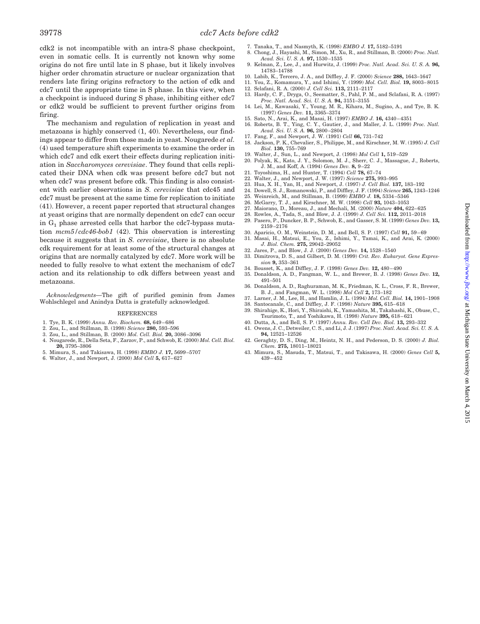cdk2 is not incompatible with an intra-S phase checkpoint, even in somatic cells. It is currently not known why some origins do not fire until late in S phase, but it likely involves higher order chromatin structure or nuclear organization that renders late firing origins refractory to the action of cdk and cdc7 until the appropriate time in S phase. In this view, when a checkpoint is induced during S phase, inhibiting either cdc7 or cdk2 would be sufficient to prevent further origins from firing.

The mechanism and regulation of replication in yeast and metazoans is highly conserved (1, 40). Nevertheless, our findings appear to differ from those made in yeast. Nougarede *et al.* (4) used temperature shift experiments to examine the order in which cdc7 and cdk exert their effects during replication initiation in *Saccharomyces cerevisiae*. They found that cells replicated their DNA when cdk was present before cdc7 but not when cdc7 was present before cdk. This finding is also consistent with earlier observations in *S. cerevisiae* that cdc45 and cdc7 must be present at the same time for replication to initiate (41). However, a recent paper reported that structural changes at yeast origins that are normally dependent on cdc7 can occur in  $G_1$  phase arrested cells that harbor the cdc7-bypass mutation *mcm5/cdc46*-*bob1* (42). This observation is interesting because it suggests that in *S. cerevisiae*, there is no absolute cdk requirement for at least some of the structural changes at origins that are normally catalyzed by cdc7. More work will be needed to fully resolve to what extent the mechanism of cdc7 action and its relationship to cdk differs between yeast and metazoans.

*Acknowledgments—*The gift of purified geminin from James Wohlschlegel and Anindya Dutta is gratefully acknowledged.

#### REFERENCES

- 1. Tye, B. K. (1999) *Annu. Rev. Biochem.* **68,** 649–686
- 2. Zou, L., and Stillman, B. (1998) *Science* **280,** 593–596
- 3. Zou, L., and Stillman, B. (2000) *Mol. Cell. Biol.* **20,** 3086–3096
- 4. Nougarede, R., Della Seta, F., Zarzov, P., and Schwob, E. (2000) *Mol. Cell. Biol.* **20,** 3795–3806
- 5. Mimura, S., and Takisawa, H. (1998) *EMBO J.* **17,** 5699–5707 6. Walter, J., and Newport, J. (2000) *Mol Cell* **5,** 617–627
- 
- 7. Tanaka, T., and Nasmyth, K. (1998) *EMBO J.* **17,** 5182–5191 8. Chong, J., Hayashi, M., Simon, M., Xu, R., and Stillman, B. (2000) *Proc. Natl.*
	- *Acad. Sci. U. S. A.* **97,** 1530–1535 9. Kelman, Z., Lee, J., and Hurwitz, J. (1999) *Proc. Natl. Acad. Sci. U. S. A.* **96,** 14783–14788
- 10. Labib, K., Tercero, J. A., and Diffley, J. F. (2000) *Science* **288,** 1643–1647
- 11. You, Z., Komamura, Y., and Ishimi, Y. (1999) *Mol. Cell. Biol.* **19,** 8003–8015
- 12. Sclafani, R. A. (2000) *J. Cell Sci.* **113,** 2111–2117
- 13. Hardy, C. F., Dryga, O., Seematter, S., Pahl, P. M., and Sclafani, R. A. (1997) *Proc. Natl. Acad. Sci. U. S. A.* **94,** 3151–3155
- 14. Lei, M., Kawasaki, Y., Young, M. R., Kihara, M., Sugino, A., and Tye, B. K. (1997) *Genes Dev.* **11,** 3365–3374
- 15. Sato, N., Arai, K., and Masai, H. (1997) *EMBO J.* **16,** 4340–4351
- 16. Roberts, B. T., Ying, C. Y., Gautier, J., and Maller, J. L. (1999) *Proc. Natl. Acad. Sci. U. S. A.* **96,** 2800–2804 17. Fang, F., and Newport, J. W. (1991) *Cell* **66,** 731–742
- 18. Jackson, P. K., Chevalier, S., Philippe, M., and Kirschner, M. W. (1995) *J. Cell*
- *Biol.* **130,** 755–769
- 19. Walter, J., Sun, L., and Newport, J. (1998) *Mol Cell* **1,** 519–529
- 20. Polyak, K., Kato, J. Y., Solomon, M. J., Sherr, C. J., Massague, J., Roberts, J. M., and Koff, A. (1994) *Genes Dev.* **8,** 9–22
- 
- 21. Toyoshima, H., and Hunter, T. (1994) *Cell* **78,** 67–74 22. Walter, J., and Newport, J. W. (1997) *Science* **275,** 993–995
- 23. Hua, X. H., Yan, H., and Newport, J. (1997) *J. Cell Biol.* **137,** 183–192 24. Dowell, S. J., Romanowski, P., and Diffley, J. F. (1994) *Science* **265,** 1243–1246
- 
- 25. Weinreich, M., and Stillman, B. (1999) *EMBO J.* **18,** 5334–5346
- 26. McGarry, T. J., and Kirschner, M. W. (1998) *Cell* **93,** 1043–1053
- 27. Maiorano, D., Moreau, J., and Mechali, M. (2000) *Nature* **404,** 622–625
- 28. Rowles, A., Tada, S., and Blow, J. J. (1999) *J. Cell Sci.* **112,** 2011–2018 29. Pasero, P., Duncker, B. P., Schwob, E., and Gasser, S. M. (1999) *Genes Dev.* **13,**
- 2159–2176
- 30. Aparicio, O. M., Weinstein, D. M., and Bell, S. P. (1997) *Cell* **91,** 59–69 31. Masai, H., Matsui, E., You, Z., Ishimi, Y., Tamai, K., and Arai, K. (2000)
- *J. Biol. Chem.* **275,** 29042–29052
- 32. Jares, P., and Blow, J. J. (2000) *Genes Dev.* **14,** 1528–1540
- 33. Dimitrova, D. S., and Gilbert, D. M. (1999) *Crit. Rev. Eukaryot. Gene Expression* **9,** 353–361
- 34. Bousset, K., and Diffley, J. F. (1998) *Genes Dev.* **12,** 480–490
- 35. Donaldson, A. D., Fangman, W. L., and Brewer, B. J. (1998) *Genes Dev.* **12,** 491–501
- 36. Donaldson, A. D., Raghuraman, M. K., Friedman, K. L., Cross, F. R., Brewer, B. J., and Fangman, W. L. (1998) *Mol Cell* **2,** 173–182
- 37. Larner, J. M., Lee, H., and Hamlin, J. L. (1994) *Mol. Cell. Biol.* **14,** 1901–1908
- 38. Santocanale, C., and Diffley, J. F. (1998) *Nature* **395,** 615–618
- 39. Shirahige, K., Hori, Y., Shiraishi, K., Yamashita, M., Takahashi, K., Obuse, C., Tsurimoto, T., and Yoshikawa, H. (1998) *Nature* **395,** 618–621
- 40. Dutta, A., and Bell, S. P. (1997) *Annu. Rev. Cell Dev. Biol.* **13,** 293–332 41. Owens, J. C., Detweiler, C. S., and Li, J. J. (1997) *Proc. Natl. Acad. Sci. U. S. A.*
- **94,** 12521–12526 42. Geraghty, D. S., Ding, M., Heintz, N. H., and Pederson, D. S. (2000) *J. Biol.*
- *Chem.* **275,** 18011–18021 43. Mimura, S., Masuda, T., Matsui, T., and Takisawa, H. (2000) *Genes Cell* **5,** 439–452